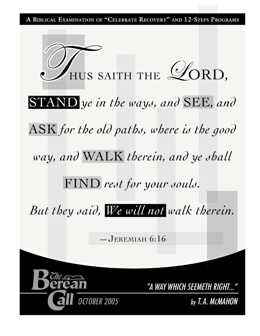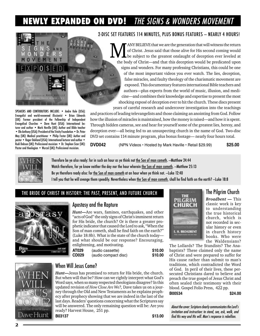# **NEWLY EXPANDED ON DVD!** THE SIGNS & WONDERS MOVEMENT



Pastor and theologian • Wurzel (UK): Professional musician.

2-DISC SET FEATURES 114 MINUTES, PLUS BONUS FEATURES — NEARLY 4 HOURS!

MANY BELIEVE that we are the generation that will witness the return<br>of Christ. Jesus said that those alive for His second coming would<br>the subject to the greatest onslaught of deception ever leveled at of Christ. Jesus said that those alive for His second coming would the body of Christ—and that this deception would be predicated upon signs and wonders. For many professing Christians, this could be one of the most important videos you ever watch. The lies, deception, false miracles, and faulty theology of the charismatic movement are exposed. This documentary features international Bible teachers and authors—plus experts from the world of music, illusion, and medicine—and combines their knowledge and expertise to present the most shocking exposé of deception ever to hit the church. These discs present years of careful research and undercover investigation into the teachings

and practices of leading televangelists and those claiming an anointing from God. Follow how the illusion of miracles is maintained, how the money is raised—and how it is spent. Through hidden cameras, see and hear for yourself some of the greatest lies, heresy, and deception ever—all being fed to an unsuspecting church in the name of God. Two-disc DVD set contains 114 minute program, plus bonus footage— nearly four hours total.

**HARPOGE** 

**DVD042** (NPN Videos • Hosted by Mark Haville • Retail \$29.99) **\$25.00**



Therefore be ye also ready: for in such an hour as ye think not the Son of man cometh. -Matthew 24:44 Watch therefore, for ye know neither the day nor the hour wherein the Son of man cometh. -Matthew 25:13 Be ye therefore ready also: for the Son of man cometh at an hour when ye think not. - Luke 12:40 I tell you that he will avenge them speedily. Nevertheless when the Son of man cometh, shall he find faith on the earth? —Luke 18:8

### THE BRIDE OF CHRIST IN HISTORY: THE PAST, PRESENT, AND FUTURE CHURCH



### Apostasy and the Rapture

*Hunt—*Are wars, famines, earthquakes, and other "acts of God" the only signs of Christ's imminent return for His bride, the church? Or is there a greater prophetic indicator that caused the Lord to ask, "When the Son of man cometh, shall he find faith on the earth?" (Luke 18:8b). What is the state of the church today and what should be our response? Encouraging, enlightening, and motivating.

| AT029 | (audio cassette)     | \$10.00 |
|-------|----------------------|---------|
| CD029 | (audio compact disc) | \$10.00 |



### When Will Jesus Come?

*Hunt—*Jesus has promised to return for His bride, the church. But when will that be? How can we rightly interpret what God's Word says, when so many respected theologians disagree? In this updated revision of *How Close Are We?,* Dave takes us on a journey through the Old and New Testaments as he explains prophecy after prophecy showing that we are indeed in the last of the last days. Readers' questions concerning what the Scriptures say will be answered. The only remaining question will be: Are you ready? Harvest House, 251 pp.

**B03137 \$13.00** 

THE **GRIM** CHURCH **E. H. BROADBENT**  The Pilgrim Church

*Broadbent —* This classic work is key to understanding the true historical church, which is not recorded in secular history or even in church history books. Who were the Waldensians?

The Lollards? The Stundists? The Anabaptists? These claimed only the name of Christ and were prepared to suffer for His cause rather than submit to man's traditions, which contradicted the Word of God. In peril of their lives, these persecuted Christians dared to believe and preach the true gospel of Jesus Christ and often sealed their testimony with their blood. Gospel Folio Press, 422 pp.

**B00534 \$24.00** 

About the cover: Scripture clearly communicates the Lord's invitation and instruction: to stand, see, ask, walk, and find His way and His will. Man's response is rebellion.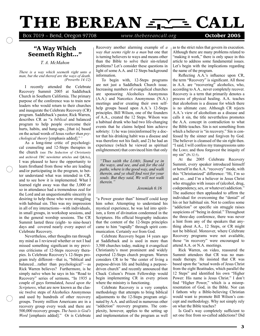# THE BEREAN <del>SINGLE</del> CALL

Box 7019 ~ Bend, Oregon 97708 *www.thebereancall.org* **October 2005** 

### "A Way Which Seemeth Right..."

*T. A. McMahon*

 *There is a way which seemeth right unto a man, but the end thereof are the ways of death. (Proverbs 14:12)*

I recently attended the Celebrate Recovery Summit 2005 at Saddleback Church in Southern California. The primary purpose of the conference was to train new leaders who would return to their churches and inaugurate the Celebrate Recovery (CR) program. Saddleback's pastor, Rick Warren, describes CR as "a *biblical* and balanced program to help people overcome their hurts, habits, and hang-ups...[that is] based on the actual words of Jesus *rather than psychological theory* [emphasis added]." 1

As a long-time critic of psychological counseling and 12-Steps therapies in the church (see *The Seduction of Christianity* and archived *TBC* newsletter articles and Q&As), I was pleased to have the opportunity to learn firsthand from those who are leading and/or participating in the program, to better understand what was intended in CR, and to see how it is implemented. What I learned right away was that the 3,000 or so in attendance had a tremendous zeal for the Lord and an unquestionable sincerity in desiring to help those who were struggling with habitual sin. This was my impression in all of my interactions—with individuals, in small groups, in workshop sessions, and in the general worship sessions. The CR Summit lasted three (eight- to nine-hour) days and covered nearly every aspect of Celebrate Recovery.

Nevertheless, other thoughts ran through my mind as I reviewed whether or not I had missed something significant in my previous criticisms of 12-Steps recovery therapies. Is Celebrate Recovery's 12-Steps program truly different—that is, "biblical and balanced…rather than psychological"—as Rick Warren believes? Furthermore, is he simply naïve when he says in his "Road to Recovery" series of sermons, "In 1935 a couple of guys formulated, *based upon the Scriptures*, what are now known as the classic twelve steps of Alcoholics Anonymous and used by hundreds of other recovery groups. Twenty million Americans are in a recovery group every week and there are 500,000 recovery groups. *The basis is God's Word* [emphasis added]." Or is Celebrate

Recovery another alarming example of *a way that seems right to a man* but one that is turning believers to ways and means other than the Bible to solve their sin-related problems? Let's consider these questions in light of some A.A. and 12 Steps background information.

To begin with, 12-Steps programs are not just a Saddleback Church issue. Increasing numbers of evangelical churches are sponsoring Alcoholics Anonymous (A.A.) and Narcotics Anonymous (N.A.) meetings and/or creating their own selfhelp groups based upon A.A.'s 12-Steps principles. Bill Wilson, one of the founders of A.A., created the 12 Steps. Wilson was a habitual drunk who had two life-changing events that he claims helped him achieve sobriety: 1) he was (mis)informed by a doctor that his drinking habit was a disease and was therefore not his fault, and 2) he had an experience (which he viewed as spiritual enlightenment) that convinced him that only

*"Thus saith the LORD, Stand ye in the ways, and see, and ask for the old paths, where is the good way, and walk therein, and ye shall find rest for your souls. But they said, We will not walk therein."* 

 *Jeremiah 6:16*

"a Power greater than" himself could keep him sober. Attempting to understand his mystical experience, he was led into spiritism, a form of divination condemned in the Scriptures. His official biography indicates that the content of the 12-Steps principles came to him "rapidly" through spirit communication. Certainly *not* from God.

Celebrate Recovery began 14 years ago at Saddleback and is used in more than 3,500 churches today, making it evangelical Christianity's most prominent and widely exported 12-Steps church program. Warren considers CR to be "the center of living a purpose-driven life and building a purposedriven church" and recently announced that Chuck Colson's Prison Fellowship would begin implementing CR in every prison where the ministry is functioning.

Celebrate Recovery is a very complex methodology that attempts to bring biblical adjustments to the 12-Steps program originated by A.A. and utilized in numerous other "addiction" recovery programs. The complexity, however, applies to the setting up and implementation of the program as well as to the strict rules that govern its execution. Although there are many problems related to "making it work," there is only space in this article to address some fundamental issues. Let's begin with the implications regarding the name of the program.

Reflecting A.A.'s influence upon CR, the term "Recovery" is significant. All those in A.A. are "recovering" alcoholics, who, according to A.A., never completely recover. Recovery is a term that primarily denotes a process of physical healing. A.A. teaches that alcoholism is a disease for which there is no ultimate cure. Although CR rejects A.A.'s view of alcoholism as a disease and calls it sin, the title nevertheless promotes the A.A. concept in contradiction to what the Bible teaches. Sin is not something from which a believer is "in recovery." Sin is confessed by the sinner and forgiven by God. The believer is cleansed of the sin right then. "I said, I will confess my transgressions unto the LORD; and thou forgavest the iniquity of my sin" (Ps 32:5).

At the 2005 Celebrate Recovery Summit, every speaker introduced himself or herself in the A.A. "recovery" mode, with this "Christianized" difference: "Hi, I'm so and so…and I'm a believer in Jesus Christ who struggles with issues of (alcohol, drug, codependency, sex, or whatever) addiction." The audience then applauded to affirm the individual for overcoming the "denial" of his or her habitual sin. Not to confess some "addiction" or specific sin struggle raises suspicions of "being in denial." Throughout the three-day conference, there was never a hint from any of the speakers that anything about A.A., 12 Steps, or CR might not be biblical. Moreover, where Celebrate Recovery programs were not available, those "in recovery" were encouraged to attend A.A. or N.A. meetings.

Rick Warren, on video, reassured the Summit attendees that CR was no manmade therapy. He insisted that CR was based upon the "actual words of Jesus Christ from the eight Beatitudes, which parallel the 12 Steps" and identified his own "Higher Power: His name is Jesus Christ." I don't find "Higher Power," which is a misrepresentation of God, in the Bible. Nor can I fathom why a Bible-believing Christian would want to promote Bill Wilson's concept and methodology. Why not simply rely on what the Bible teaches?

Is God's way completely sufficient to set one free from so-called addictions? Did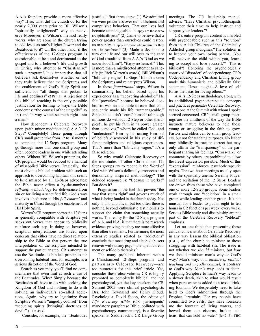A.A.'s founders provide a more effective way? If so, what did the church do for the nearly 2,000 years prior to Bill Wilson's "spiritually enlightened" way to recovery? Moreover, if Wilson's method really works, why are some in the church trying to add Jesus as one's Higher Power and the Beatitudes to it? On the other hand, if the effectiveness of the 12-Steps program is questionable at best and detrimental to the gospel and to a believer's life and growth in Christ, why attempt to "Christianize" such a program? It is imperative that all believers ask themselves whether or not they truly believe that the Scriptures and the enablement of God's Holy Spirit are sufficient for "all things that pertain to life and godliness" (2 Pt 1:3). A rejection of this biblical teaching is the only possible justification for turning to ways the Bible condemns: "the counsel of the ungodly" (Ps 1:1) and "a way which seemeth right unto a man."

How dependent is Celebrate Recovery upon (with minor modifications) A.A.'s 12 Steps? Completely! Those going through CR's small group take from 12 to 16 months to complete the 12-Steps program. Many go through more than one small group and often become leaders in one while attending others. Without Bill Wilson's principles, the CR program would be reduced to a handful of misapplied Bible verses. Tragically, the most obvious biblical problem with such an approach to overcoming habitual sins seems to be dismissed by all 12-Steps advocates: the Bible never offers a by-the-numbers *self-help methodology* for deliverance from sin or for living a sanctified life. God's way involves obedience to His *full counsel* and maturity in Christ through the enablement of His Holy Spirit.

Warren's CR program views the 12 Steps as generally compatible with Scripture yet seeks out verses that appear to biblically reinforce each step. In doing so, however, scriptural interpretations are forced upon concepts that either have no direct relationship to the Bible or that pervert the true interpretation of the scripture intended to support the particular step. CR's attempt to use the Beatitudes as biblical principles for overcoming habitual sins, for example, is a serious distortion of the Word of God.

Search as you may, you'll find no commentaries that even hint at such a use of the Beatitudes. Why? Simply because the Beatitudes all have to do with seeking the Kingdom of God and nothing to do with solving an individual's so-called addictions. Again, why try to legitimize from Scripture Wilson's "ungodly counsel" from "seducing spirits [bringing] doctrines of devils" (1 Tm 4:1)?

Consider, for example, the "Beatitudes

justified" first three steps: (1) We admitted we were powerless over our addictions and compulsive behaviors. That our lives had become unmanageable. "Happy are those who are spiritually poor." (2) Came to believe that a power greater than ourselves could restore us to sanity. "Happy are those who mourn, for they shall be comforted." (3) Made a decision to turn our life and our will over to the care of God (modified from A.A.'s "God as we understood Him"). "Happy are the meek." This is more than a misdirected attempt to sanctify (in Rick Warren's words) Bill Wilson's "biblically vague" 12 Steps.<sup>2</sup> It both abuses the Scriptures and reinterprets Wilson.

In these *foundational* steps, Wilson is summarizing his beliefs based upon his experiences as a "recovering alcoholic." He felt "powerless" because he believed alcoholism was an incurable disease that consequently made his life "unmanageable." Since he couldn't "cure" himself (although millions do without 12-Step or other therapies!), he put his faith in "a power greater than ourselves," whom he called God, and "understood" Him by fabricating Him out of beliefs discovered in his study of different religions and religious experiences. That's more than "biblically vague." It's a false religion.

So why would Celebrate Recovery or the multitudes of other Christianized 12- Steps groups try to reconcile the Word of God with Wilson's definitely erroneous and demonically inspired methodology? The deluded response is: "Because it works!" But does it?

Pragmatism is the fuel that powers "the way that seems right" and governs much of what is being lauded in the church today. Not only is this unbiblical, but too often there is nothing beyond enthusiastic testimonials to support the claim that something actually works. The reality for the 12-Steps program of A.A. and N.A. is that there is no research evidence proving that they are more effective than other treatments. Furthermore, the most extensive studies related to "addictions" conclude that most drug and alcohol abusers recover without any psychotherapeutic treatment or self-help therapies.<sup>3</sup>

The many problems inherent within a Christianized 12-Steps program—and particularly Celebrate Recovery—are too numerous for this brief article. Yet, consider these observations: CR is highly promoted as completely biblical and not psychological, yet the key speakers for CR Summit 2005 were clinical psychologists Drs. John Townsend and Henry Cloud. Psychologist David Stoop, the editor of *Life Recovery Bible* (CR participants' mandatory paraphrase Bible, polluted with psychotherapy commentary), is a favorite speaker at Saddleback's CR Large Group meetings. The CR leadership manual advises, "Have Christian psychotherapists volunteer their time to help instruct and support your leaders."<sup>4</sup>

CR's entire program content is marbled with psychobabble such as this "solution" from its Adult Children of the Chemically Addicted group's dogmas:"The solution is to become your own loving parent….You will recover the child within you, learning to accept and love yourself."5 This is biblical?! Honoring the psychologically contrived "disorder" of codependency, CR's Codependency and Christian Living group made this humanistic and biblically false statement: "Jesus taught....A love of self forms the basis for loving others."6

A.A.'s 12-Steps methodology, along with its antibiblical psychotherapeutic concepts and practices permeates Celebrate Recovery, yet no one at the Summit with whom I spoke seemed concerned. CR's small group meetings are the antithesis of the way the Bible instructs mature believers to help those young or struggling in the faith to grow. Pastors and elders can be small group leaders, but not for teaching purposes. No leader may biblically instruct or correct but may only affirm the "transparency" of the participant sharing his feelings. "Cross-talk," or comments by others, are prohibited to allow the freest expression possible. Much of this "expression" reinforces psychotherapeutic myths. The two-hour meetings usually open with the spiritually anemic Serenity Prayer and the recitation of the 12 Steps. Leaders are drawn from those who have completed one or more 12-Step groups. Some leaders work through one "addiction" in a small group while leading another group. It's not unusual for a leader to put in eight to ten hours in CR functions per week, every week. Serious Bible study and discipleship are not part of the Celebrate Recovery "biblical" emphasis.

Let no one think that presenting these critical concerns about Celebrate Recovery in any way lessens the biblical obligation (Gal 6) of the church to minister to those struggling with habitual sin. The issue is not whether we *should* minister, but *how* we should minister: man's way or God's way? Man's way, or *a mixture of biblical teaching and ungodly counsel,* is contrary to God's way. Man's way leads to death. Applying Scripture to man's way leads to a slower death, akin to what would result when pure water is added to a toxic drinking fountain. We desperately need to take heed to God's admonition through the Prophet Jeremiah: "For my people have committed two evils; they have forsaken me the fountain of living waters, and hewed them out cisterns, broken cisterns, that can hold no water" (Jer 2:13). **TBC**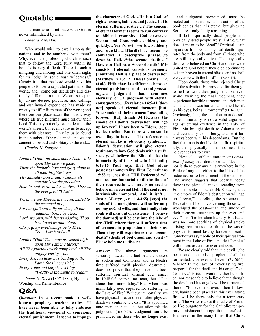### **Quotable**

The man who is intimate with God is never intimidated by man.

*Leonard Ravenhill*

–––––––––––––– Who would wish to dwell among the nations, and to be numbered with them? Why, even the professing church is such that to follow the Lord fully within its bounds is very difficult. There is such a mingling and mixing that one often sighs for "a lodge in some vast wilderness." Certain it is that the Lord would have his people to follow a separated path as to the world, and come out decidedly and distinctly different from it. We are set apart by divine decree, purchase, and calling, and our inward experience has made us greatly to differ from men of the world; and therefore our place is...in the narrow way where all true pilgrims must follow their Lord. This may not only reconcile us to the world's sneers, but even cause us to accept them with pleasure....Only let us be found in the number of the redeemed, and we are content to be odd and solitary to the end....

*Charles H. Spurgeon*

–––––––––––––– Lamb of God! our souls adore Thee while upon Thy face we gaze; There the Father's love and glory shine in all their brightest rays; Thy almighty power and wisdom, all creation's works proclaim; Heav'n and earth alike confess Thee as the ever great "I AM."

When we see Thee as the victim nailed to the accursed tree, For our guilt and folly stricken, all our judgment borne by Thee, Lord, we own, with hearts adoring, Thou hast loved us unto blood; Glory, glory everlastings be to Thee, Thou Lamb of God!

Lamb of God! Thou now art seated high upon Thy Father's throne; All Thy gracious work completed, all Thy mighty vict'ry won. Every knee in heav'n is bending to the Lamb for sinners slain; Every voice and harp is swelling, "Worthy is the Lamb to reign!"

*James G. Deck* (1807-1884), Hymns of Worship and Remembrance

 $O&A \equiv$ 

*Question:* **In a recent book, a wellknown prophecy teacher writes, "I have never been able to fully embrace the traditional viewpoint of conscious, eternal punishment. It seems to impugn**  **the character of God….He is a God of righteousness, holiness, and justice, but is eternal suffering justice…? The concept of eternal torment seems to run contrary to biblical examples. God destroyed Sodom and Gomorrah…suddenly and quickly…Noah's evil world…suddenly and quickly….[Thirdly] it seems to contradict a descriptive phrase…to describe Hell…"the second death…." How can Hell be a "second death" if it consists of eternal, conscious torment? [Fourthly] Hell is a place of destruction (Matthew 7:13; 2 Thessalonians 1:9, et al.). Fifth, there is a difference between eternal punishment and eternal** *punishing***…a judgment that continues eternally, or…a judgment with eternal consequences….Revelation 14:9-11 [does not] speak of eternal torment [but] "the smoke of their torment" ascending forever. [But] Isaiah 34:10…says the smoke of Edom's destruction will "go up forever." I have been to Edom…seen its destruction. But there was no smoke ascending to heaven. The reference to eternal smoke is obviously symbolic… Edom's destruction will give eternal testimony to how God deals with a sinful society….I believe the Bible denies the immortality of the soul….In 1 Timothy 6:15,16 Paul says that God alone possesses immortality. First Corinthians 15:53 teaches that THE Redeemed will not become immortal until the time of their resurrection….There is no need to believe in an eternal Hell if the soul is not intrinsically immortal. And it isn't…. Justin Martyr (A.D. 114-165) [says] the souls of the unrighteous will suffer only as long as God wills, and that finally their souls will pass out of existence. [I believe the damned] will be cast into the lake of fire (Hell) where they will suffer a time of torment in proportion to their sins. Then they will experience the "second death" (death of body, soul and spirit)." Please help me to discern.**

*Answer:* The above arguments are seriously flawed. The fact that the sinners in Sodom and Gomorrah and in Noah's time suffered swift physical destruction does not prove that they have not been suffering spiritual torment ever since, in Hell! Of course, no man, but "God alone has immortality." But when was immortality ever required for suffering in the Lake of Fire? Without immortality, we have physical life; and even after physical death we continue to exist: "It is appointed unto men once to die, but after this the judgment" (Heb 9:27). Judgment can't be pronounced on those who no longer exist

—and judgment pronounced must be meted out in punishment. The author of the book denies that it is eternal but gives no Scripture—only faulty reasoning.

If both spiritually dead people and physically dead people are still alive, what does it mean to be "dead"? Spiritual death separates from God; physical death separates from the body and from all those who are still physically alive. The physically dead who believed on Christ and thus were united to God before they died continue to exist in heaven in eternal bliss ("and so shall we ever be with the Lord"- 1 Thes 4:17).

Upon death, those who rejected Christ and the salvation He provided for them go to hell to await their judgment; but even while awaiting the final judgment, they experience horrible torment: "the rich man also died, and was buried; and in hell he lift up his eyes, being in torments" (Lk 16:22,23). Obviously, then, the fact that man doesn't have immortality is not a valid argument against eternal existence in the Lake of Fire. Sin brought death to Adam's spirit and eventually to his body, and so it has always been with his descendants. But the fact that man is doubly dead—first spiritually, then physically—does not mean that he ever ceases to exist.

Physical "death" no more means *cessation of being* than does spiritual "death" nor is there ever any hint anywhere in the Bible of any end either to the bliss of the redeemed or to the torment of the damned. The writer suggests that because today there is no physical smoke ascending from Edom in spite of Isaiah 34:10 saying that "the smoke of Edom's destruction will 'go up forever,'" therefore, the statement in Revelation 14:9-11 concerning those who worshiped the beast—that "the smoke of their torment ascendeth up for ever and ever"—isn't to be taken literally. But Isaiah was no more speaking of physical smoke arising from ruins on earth than he was of physical torment lasting forever on earth. "Smoke" was symbolic of their spiritual torment in the Lake of Fire, and that "smoke" will indeed ascend for ever and ever.

We are clearly told that "the devil...the beast and the false prophet…shall be tormented...for ever and ever" (Rv 20:10). Where? In the lake of "everlasting fire, prepared for the devil and his angels" (Mt 25:41; Rv 20:14,15). It would neither be biblical nor reasonable to believe that although the devil and his angels will be tormented therein "for ever and ever," their followers, having been placed in this everlasting fire, will be there only for a temporary time. The writer makes the Lake of Fire to be like purgatory for the Catholic: temporary punishment in proportion to one's sin. But never in the many times that Christ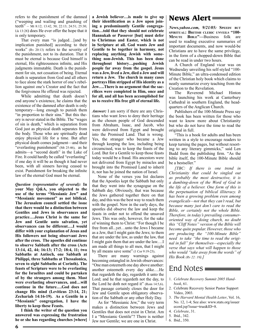refers to the punishment of the damned ("weeping and wailing and gnashing of teeth" – Mt 8:12; 13:42, 50; 22:13; 24:51; 25:30; Lk 13:28) does He ever offer the hope that it is only temporary.

That every man "is judged... [and by implication punished] according to their works" (Rv 20:13) refers to the severity of the punishment, not to its duration. That it must be eternal is because God himself is eternal, His righteousness infinite, and His judgments immutable. Death is the punishment for sin, not cessation of being. Eternal death is separation from God and all others to face alone the stark horror of one's rebellion against one's Creator and the fact that the forgiveness He offered was rejected.

While admitting that death doesn't end anyone's existence, he claims that the existence of the damned after death is only temporary—long enough to punish them "in proportion to their sins." But this theory is never stated in the Bible. The "wages of sin is death," which is separation from God just as physical death separates from the body. Those who are spiritually dead enjoy physical life for a time. But after physical death comes judgment—and their "everlasting punishment" (Mt 25:46), as he admits—a "second death" in the Lake of Fire. It could hardly be called "everlasting" if one day it will be as though it had never been, with all sinners having ceased to exist. Punishment for breaking the infinite law of the eternal God must be eternal.

*Question (representative of several):* **In your May Q&A, you objected to the use of the terms "Messianic Jew" and "Messianic movement" as not biblical. The Jerusalem council settled the issue that there would be a distinction between Gentiles and Jews in observances and practice….Jesus Christ is the same for Jew and Gentile unto salvation, yet observances can be different….I would differ with your explanation of Jesus and His followers not being observant Jews after the cross. The apostles did continue to observe Sabbath after the cross (Acts 13:14, 42, 44; 16:13; 17:2; 18:4, 11; two Sabbaths at Antioch, one Sabbath at Philippi, three Sabbaths at Thessalonica, seven to eight Sabbaths at Corinth). The feasts of Scripture were to be everlasting for the Israelites and could be partaken of by the strangers among them. Most were everlasting observances, and…will continue in the future….God does not change His mind (Leviticus 23:14, 21; Zechariah 14:16-19). As a Gentile in a "Messianic" congregation, I have the liberty to keep these Feasts.**

**I think the writer of the question you answered was expressing the frustration he or she has regarding churches [where]**  **a Jewish believer…is made to give up their identification as a Jew upon joining a predominantly Gentile congregation…told that they should not celebrate Hannukah or Passover [but] must defer to Christmas and Easter, which is not in Scripture at all. God wants Jew and Gentile to be together in harmony, not replacing anything Jewish with something non-Jewish. This has been done throughout history…pushing Jewish people far away from the gospel. Jesus was a Jew, lived a Jew, died a Jew and will return a Jew. The church in many cases portrays Him stripped of His identity as a Jew….There is no argument that the sacrifices were completed in Him, once and for all, and all has been accomplished for us to receive His free gift of eternal life.** 

*Answer:* I am sorry if there are any Christians who want Jews to deny their heritage as the chosen people of God descended from Abraham, Isaac, and Jacob, who were delivered from Egypt and brought into the Promised Land. That is wrong. Yes, the stranger who became a Jew through keeping the law, including being circumcised, was to keep the feasts of the Lord. But for a Gentile to keep those feasts today would be a fraud. His ancestors were not delivered from Egypt by miracles and brought into the Promised Land to inherit it, nor has he joined the nation of Israel.

None of the verses you list declares that the Apostles kept the Sabbath but only that they went into the synagogue on the Sabbath day. Obviously, that was because the Jews gathered together there on that day, and this was the best way to reach them with the gospel. Now in the early days, the apostles did observe the law and keep the feasts in order not to offend the unsaved Jews. This was only, however, for the sake of winning them to Christ: "For though I be free from all...yet…unto the Jews I became as a Jew, that I might gain the Jews; to them that are under the law, as under the law, that I might gain them that are under the law.…I am made all things to all men, that I might by all means save some" (1 Cor 9:19-23).

There are many warnings against becoming entangled in Jewish observances: "One man esteemeth one day above another: another esteemeth every day alike….He that regardeth the day, regardeth it unto the Lord; and he that regardeth not the day, to the Lord he doth not regard it" (Rom 14:5,6). That passage certainly closes the door for Jew and Gentile upon obligatory observation of the Sabbath or any other Holy Day.

As for "Messianic Jew," the very term makes a distinction between Jews and Gentiles that does not exist in Christ. Am I a "Messianic Gentile"? There is neither Jew nor Gentile; we are one in Christ.

### News Alert

*News.yahoo.com, 9/21/05:* **SPEEDY BUT SPIRITUAL: BRITISH CLERIC UNVEILS "100- MINUTE BIBLE"—**Business folk are used to reading executive summaries of important documents, and now would-be Christians are to have the same privilege, in the form of a chopped-down Bible that can be read in under two hours.

A Church of England vicar was on Wednesday unveiling his self-styled "100- Minute Bible," an ultra-condensed edition of the Christian holy book which claims to neatly summarize every teaching from the Creation to the Revelation.

The Reverend Michael Hinton was launching his work at Canterbury Cathedral in southern England, the headquarters of the Anglican Church.

Publishers of the 100-Minute Press say the book has been written for those who want to know more about Christianity but who do not have the time to read the original in full.

"This is a book for adults and has been written in a style to encourage readers to keep turning the pages, but without resorting to any literary gimmicks," said Len Budd from the publishing firm. "As the bible itself, the 100-Minute Bible should be a bestseller."

*[TBC: If there is one trend in Christianity that could be singled out as probably the most destructive, it is a dumbing-down of the Word of God in the life of a believer. One form of this is the perpetuation of biblical illiteracy. It has been a growing problem even among evangelicals—not that they can't read, but because many just don't care to read the Bible, or certainly not the whole Bible. Therefore, in today's prevailing consumeroriented way of doing church, no doubt this "Cliff Notes" version of the Bible will become quite popular. However, those who are producing the "100-Minute Bible" need to take "the time to read the original in full" for themselves—especially the verse that says what will happen to those who would "take away from the words" of His Book (Rv 22: 19).]*

### End Notes  $\equiv$

- 1. *Celebrate Recovery Summit 2005 Handbook*, 61.
- 2. Celebrate Recovery Senior Pastor Support Video, 2003.
- 3. *The Harvard Mental Health Letter*, Vol. 16, No. 12, 1-4; See also: www.stats.org/issuer ecord.jsp?issue=true&ID=8.
- 4. *Celebrate*, 31.
- 5. Ibid., 342.
- 6. Ibid., 350.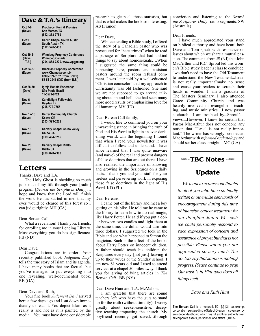#### Dave & T.A.'s Itinerary

| Oct 7-8<br>(Dave)           | <b>Prophecy: Peril &amp; Promise</b><br>San Marcos TX<br>(512) 353-7759                                                  |
|-----------------------------|--------------------------------------------------------------------------------------------------------------------------|
| Oct 9<br>(Dave)             | <b>Calvin Chapel South Austin</b><br><b>South Austin TX</b><br>(512) 576-5433                                            |
| Oct 19-21<br>(Dave,<br>T.A. | <b>Winnipeg Prophecy Conference</b><br><b>Winnipeg Canada</b><br>(204) 888-7270, www.wpapc.org                           |
| Oct 24-27<br>(Dave)         | <b>Brazilian Prophecy Conference</b><br>www.Chamada.com.br<br>0300-789-5152 (from Brazil)<br>55-51-3241-5050 (from U.S.) |
| Oct 28 30<br>(Dave)         | Igreja Batista Esperança<br>São Paulo Brazil<br>11-5571-9721                                                             |
| Nov <sub>6</sub><br>(Dave)  | <b>Candlelight Fellowship</b><br>Hayden ID<br>(208) 772-7755                                                             |
| Nov 12-13<br>(Dave)         | <b>Keizer Community Church</b><br><b>Keizer OR</b><br>(503) 393-0222                                                     |
| Nov <sub>16</sub><br>(Dave) | <b>Calvary Chapel Chino Valley</b><br>Chino CA<br>(909) 464-8255                                                         |
| <b>Nov 20</b><br>(Dave)     | <b>Calvary Chapel Rialto</b><br><b>Rialto CA</b><br>(909) 820-7300                                                       |

Thanks, Dave and T.A,

The Holy Ghost is shedding so much junk out of my life through your [radio] program [*Search the Scriptures Daily*]. I hope and know that the Lord will finish the work He has started in me: that my eyes would be cleared of this forest so I can judge rightly. MH (CA)

Dear Berean Call,

What a revelation! Thank you, friends, for enrolling me in your Lending Library. Most everything you do has significance. PB (ND)

Dear Dave,

Congratulations are in order! Your recently published book *Judgment Day!* tells the true story of Islam and its agenda. I have many books that are factual, but you've managed to put everything into one revealing, well-documented book. RE (GA)

#### Dear Dave and Ruth,

Your fine book *Judgment Day!* arrived here a few days ago and I sat down immediately to read it. You depict Islam as it really is and not as it is painted by the media....You must have done considerable research to glean all those statistics, but that is what makes the book so interesting. AS (France)

Dear Dave,

While attending a Bible study, I offered the story of a Canadian pastor who was prosecuted for "hate crimes" when he read a passage of Scripture that had unkind things to say about homosexuals….When I suggested the same thing could be happening here, pastors and assistant pastors around the room refused comment. I was later told by a well-educated "Christian counselor" that my approach to Christianity was old fashioned. She said we are not supposed to go around talking about sin and hell; she had seen many more good results by emphasizing love for all humanity. MV (ID)

#### Dear Berean Call family,

Letters  $\equiv$  and growing in the Scriptures on a daily  $\parallel$  Update I would like to commend you on your unwavering stance in bringing the truth of God and His Word to light in an ever-darkening world….In the beginning I found that when I read your newsletter it was difficult to follow and understand. I have since learned that I was quite unaware (and naïve) of the real and present dangers of false doctrines that are out there. I have also realized the importance of knowing basis. I thank you and your staff for your tireless and persevering work in exposing these false doctrines in the light of His Word. KD (FL)

Dear Bereans,

I came out of the library and met a boy getting on his bike. He told me he came to the library to learn how to do real magic, like Harry Potter. He said if you put a dollar between two candles and light them at the same time, the dollar would turn into three dollars. I suggested we look in the Bible and see what happened to Simon the magician. Such is the effect of the books about Harry Potter on innocent children. A father should teach his children the Scriptures every day [not just] leaving it up to their wives or the Sunday school. I am now 81 years old and I used to attend services at a chapel 50 miles away. I thank you for giving edifying articles in *The Berean Call.* BB (NY)

#### Dear Dave Hunt and T.A. McMahon,

I am grateful that there are sound teachers left who have the guts to stand up for the truth (without timidity). I worry greatly about seeker-sensitive, deceptive teaching impacting the church. My boyfriend recently got saved…through

conviction and listening to the *Search the Scriptures Daily* radio segments. SW (Australia)

#### Dear Friends,

I have much appreciated your stand on biblical authority and have heard both Dave and Tom speak with resonance on issues about which we share a mutual passion. The comments from JS (NJ) that John MacArthur and R.C. Sproul led this women's Bible study leader's class to conclude, "we don't need to have the Old Testament to understand the New Testament...Israel is not really important"make no sense and cause your readers to scratch their heads in wonder. I...am a graduate of The Masters Seminary. I also attended Grace Community Church and was heavily involved in evangelism, teaching, and music ministries....I now pastor a church....I am troubled by...Sproul's... views....However, I know for certain that Pastor MacArthur does not condone any notion that..."Israel is not really important." The writer has wrongly connected MacArthur with *reformed eschatology* and should set her class straight....MC (CA)

### **TBC Notes**

*We want to express our thanks to all of you who have so kindly written or otherwise sent words of encouragement during this time of intensive cancer treatment for our daughter Janna. We wish we could personally respond to each expression of concern and assurance of prayer, but that is not possible. Please know you are appreciated so very much. The doctors say that Janna is making progress. Please continue to pray. Our trust is in Him who does all things well.*

*Dave and Ruth Hunt*

**The Berean Call** is a nonprofit 501 [c] [3], tax-exempt corporation registered in the State of Oregon. It is overseen by an independent board which has full and final authority over all corporate assets, personnel, and affairs. (10/05)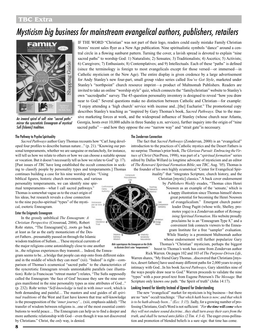### **TBC** Extra 1-800-937-6638 • Box 7019, Bend, OR 97708 • Box 7019, Bend, OR 97708 • WWW.thebereancall.org

# Mysticism big business for mainstream evangelical authors, publishers, retailers



An inward spiral of self: nine "sacred paths" mirror the syncretistic Enneagram of mystical Sufi (Islamic) tradition.

#### The Pathway to Psycho-Spirituality

*Sacred Pathways* author Gary Thomas recounts how "Carl Jung developed four profiles to describe human nature..." (p. 21). "Knowing our personal temperaments, whether we are sanguine or melancholy, for instance, will tell us how we relate to others or how we can choose a suitable spouse or vocation. But it doesn't necessarily tell us how we relate to God" (p. 17). [Past issues of *TBC* have long established the occult connection in seeking to classify people by personality types and temperaments.] Thomas

continues building a case for his nine worship styles: "Using biblical figures, historic church movements, and various personality temperaments, we can identify nine spiritual temperaments—what I call sacred pathways." Thomas is somewhat vague as to the exact origin of his ideas, but research reveals a close connection to the nine psycho-spiritual "types" of the mystical, esoteric Enneagram.

#### Enter the Enigmatic Enneagram

In the grossly unbiblical *The Enneagram: A Christian Perspective* (Crossroad, 2004), Robert Rohr states, "The Enneagram['s]...roots go back at least as far as the early monasticism of the Desert Fathers...presumably passed on through the Islamic wisdom tradition of Sufism.... These mystical currents of the major religions come astonishingly close to one another in...the religious experiences they transmit.... Indeed, the Ennea-

**<sup>8</sup> <sup>9</sup>** gram seems to be...a bridge that people can step onto from different sides and in the middle of which they can meet" (xii). "Indeed" is right—comparison of Thomas's ecumenical "sacred paths" to the characteristics of the syncretistic Enneagram reveals unmistakable parallels (see illustration). Rohr (a Franciscan "retreat master") relates, "The Sufis supposedly called the Enneagram 'the face of God' because they saw the nine energies manifested in the nine personality types as nine attributes of God..." (p. 232). Rohr writes "*Self-knowledge* is tied in with *inner work*, which is both demanding and painful.... The masters and soul guides of all *spiritual traditions* of the West and East have known that true self-knowledge is the presupposition of the '*inner journey*'... (xiii, emphasis added). "The transfer of wisdom between religions is...one of the most essential contributions to world peace.... The Enneagram can help us to find a deeper and more authentic relationship with God—even though it was not discovered by Christians." Christ, the *only* way, is denied.

IF THE WORD "Christian" was not part of their logo, readers could easily mistake Family Christian Stores' recent sales flyer as a New Age publication. Nine spiritualistic symbols "dance" around a central circle in a flowing sunburst pattern. Turning the cover, a lavish spread is devoted to explain "nine" sacred paths" to worship God: 1) Naturalists; 2) Sensates; 3) Traditionalists; 4) Ascetics; 5) Activists; 6) Caregivers; 7) Enthusiasts; 8) Contemplatives; and 9) Intellectuals. Each of these "paths" is defined (since the terminology is foreign to most evangelicals except for those versed—or immersed—in Catholic mysticism or the New Age). The entire display is given credence by a large advertisement for Andy Stanley's new four-part, small group video series called *You've Got Style*, marketed under Stanley's "northpoint" church resource imprint—a product of Multnomah Publishers. Readers are invited to take an online "worship style" quiz, which connects the "familychristian" website to Stanley's own "sacredpaths" survey. The 45-question personality inventory is designed to reveal "how you draw near to God." Several questions make no distinction between Catholic and Christian—for example: "I enjoy attending a 'high church' service with incense and...[the] Eucharist." The promotional copy describes Stanley's teaching as "inspired by Gary Thomas's book, *Sacred Pathways.* Due to the massive marketing forces at work, and the widespread influence of Stanley (whose church near Atlanta, Georgia, hosts over 10,000 adults in three Sunday a.m. services), further inquiry into the origin of "nine sacred paths" —and how they oppose the *one* "narrow way" and "strait gate" is necessary.

#### The Zondervan Connection

**Rely superimperses the Enneagram on the Civila** te illustrate Christ's nine "Iemperaments."

The fact that *Sacred Pathways* (Zondervan, 2000) is an "evangelical" introduction to the practices of Catholic mystics and the Desert Fathers is no surprise. Thomas's prior book, *The Glorious Pursuit: Embracing the Virtues of Christ* (NavPress, 1998), was part of a "*spiritual formation*" series edited by Dallas Willard (a longtime advocate of mysticism and an editor of *The Renovaré Spiritual Formation Bible*; see *TBC,* Aug. '05). Thomas is the founder of his own highly ecumenical "Center for Evangelical Spir-

> ituality" that "integrates Scripture, church history, and the Christian [mystic] classics." A back cover endorsement by *Publishers Weekly* exudes, "Thomas cites Henri Nouwen as an example of the 'sensate,' which is a happy illustration since Thomas himself shows great potential for becoming the Henri Nouwen of evangelicalism." Emergent church pastor/ leader Doug Pagitt (whose wife, Shelley, promotes yoga) is a Zondervan author of *Reimagining Spiritual Formation*. His website proudly proclaims he is an "Enneagram Type 8," and a convenient link connects viewers to the Enneagram Institute for a free "sampler" evaluation. While Stanley is a prominent Multnomah author whose endorsement will further popularize Gary Thomas's "Christian" mysticism, perhaps the biggest boost to Thomas's work has come from Zondervan author

Rick Warren. On pages 102 and 103 of *The Purpose-Driven Life*, Warren shares, "My friend Gary Thomas...discovered that Christians [mystics, desert fathers] have used many different paths for 2,000 years to enjoy intimacy with God...In his book *Sacred Pathways*, Gary identifies nine of the ways people draw near to God." Warren proceeds to validate the nine "types" with a poor proof-text from Eugene Peterson's *The Message.* But Scripture only knows *one* path: "the Spirit of truth" (John 14:17).

#### Looking Inward for Identity Instead of Upward for Understanding

The new "evangelical" market for mysticism is big business—but there are no "new" occult teachings: *"That which hath been is now; and that which is to be hath already been..." (Ecc. 3:15). S*adly, for a growing number of professing Christians, God's Word is not sufficient: "For the time will come when *they will not endure sound doctrine...they shall turn away their ears from the truth, and shall be turned unto fables (2 Tim. 4:3-4).* The eager cross-pollination and promotion of blended beliefs is a sure sign: that time has come.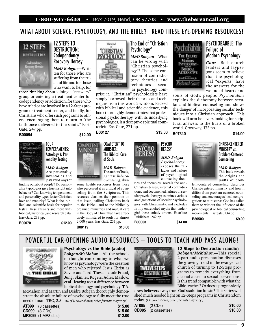1-800-937-6638 • Box 7019, Bend, OR 97708 • **www.thebereancall.org**

### WHAT ABOUT SCIENCE, PSYCHOLOGY, AND THE BIBLE? READ THESE EYE-OPENING RESOURCES!



### DESTRUCTION: **Codependency** Recovery Heresy

*M&D Bobgan—*Writ ten for those who are suffering from the trials of life and for those who want to help, for

those thinking about joining a "recovery" group or entering a treatment center for codependency or addiction, for those who have tried or are involved in a 12-Steps program or treatment center, and finally, for Christians who offer such programs to others, encouraging them to return to "the faith once delivered to the saints." East-Gate, 247 pp.

**B00054 \$12.00**



FOUR TEMPERAMENTS: Astrology & Personality Testing

*M&D Bobgan— M&D* Are personality Are inventories and inventories tests valid ways of

finding out about people? Do personality typologies give true insight into behavior? Can knowing temperament and personality types foster Christian love and maturity? What is the biblical and scientific basis for popular tests? These answers and more with biblical, historical, and research data. EastGate, 213 pp.

**B00070 \$12.00**

 $\frac{1}{\sqrt{2}}$  **9** 



The End of "Christian Psychology" *M&D Bobgan—*What can be wrong with can be wrong "Christian psychol-"Christian

ogy"? The same con-ogy"? The same fusion of contradic-fusion of tory theories and tory theories techniques as secu-techniques as lar psychology com-lar psychology com-

The Find of "CHRISTIC CHRISTIC CHRISTIC CHRISTIC CHRISTIC CHRISTIC CHRISTIC CHRISTIC CHRISTIC CHRISTIC CHRISTIC CHRISTIC CHRISTIC CHRISTIC CHRISTIC CHRISTIC CHRISTIC CHRISTIC CHRISTIC CHRISTIC CHRISTIC CHRISTIC CHRISTIC C prise it. "Christian" psychologists have simply borrowed their theories and techniques from this world's wisdom. Packed with biblical and scientific evidence, this book thoroughly demonstrates that professional psychotherapy, with its underlying psychologies, is a deceptive spiritual counterfeit. EastGate, 271 pp.

#### COMPETENT TO MINISTER: The Biblical Care of Souls

*M&D Bobgan—* The authors' book, *Against Biblical Counseling*, drew **Counseling ACCES**<br> *Against Biblical*<br> *Counseling*, drew counseling

some hostile responses from those who perceived it as critical of counseling from the Scriptures. This resource clarifies their position on that issue, calling Christians back to the Bible—and to the biblically ordained ministries and mutual care in the Body of Christ that have effectively ministered to souls for almost 2,000 years. EastGate, 251 pp. **B00119 \$13.00**



PSYCHO

#### **HERESY** *M&D Bobgan— M&D Bobgan—Psychoheresy*  exposes the fal-exposes the lacies and failure of psychological of counseling theo-

ries and therapies; reveals the anti-Christian biases, internal contradictions, and documented failures of secular psychotherapy; examines various amalgamations of secular psychologies with Christianity, and explodes firmly entrenched myths that undergird these unholy unions. EastGate Publishers, 242 pp. **B00003 \$14.00**

Astrology & Per-<br>
Sonality Testing<br>
M&D Bobgan—<br>
Are personality<br>
M&D Bobgan—<br>
Are personality<br>
The Biblical Care<br>
M&D Bobgan—<br>
M&D Bobgan—<br>
M&D Bobgan—<br>
The authors'book,<br>
The authors'book,<br>
The authors'book,<br> *Against Bi* 

world. Crossway, 173 pp.

**THE FAILURE<br>MODERN**<br>PSYCHOGOGY-BIBLICAL<br>ALTERNATIVE<br>*MODERNATIVE*<br>*Richard Ganz* 

#### CHRIST-CENTERED MINISTRY vs. Problem-Centered Counseling

PSYCHOBABBLE: The

Modern Psychology *Ganz—*Both church leaders and layper-leaders and sons seem to believe sons seem to that the psycholog-that the ical "experts" have ical "experts" the answers for the the answers for wounded hearts and

Failure of

souls of God's people. *PsychoBabble*  explains the dichotomy between secular and biblical counseling and shows the danger of incorporating secular techniques into a Christian approach. This book will arm believers looking for scriptural answers to the hurts of a broken

> *M&D Bobgan— M&D* This book reveals the origins and the origins faults of prob-

lem-centered counseling, describes Christ-centered ministry and how it differs from problem-centered counseling, and encourages local congregations to minister as God has called them to without the influence of the psychological or biblical counseling movements. Eastgate, 134 pp.

**B80500 \$9.00**

POWERFUL EAR-OPENING AUDIO RESOURCES — TOOLS TO TEACH AND PASS ALONG!



#### **Psychology vs the Bible (audio)**

*Bobgan/McMahon*—All the schools of thought contributing to what we know as psychology were the creation of men who rejected Jesus Christ as Savior and Lord. These include Freud, Jung, Skinner, Rogers, Adler, Maslow, et al., leaving a vast difference between biblical theology and psychology. T.A.

McMahon and Martin and Deidre Bobgan thoroughly demonstrate the absolute failure of psychology to fully meet the true need of man. TBC, 2.5 hrs. *(CD cover shown; other formats may vary.)*

| AT099 (3 cassettes)        |  | \$15.00 |
|----------------------------|--|---------|
| <b>CD099</b> (3 CDs)       |  | \$15.00 |
| <b>MP3099</b> (1 MP3 disc) |  | \$12.00 |



**12 Steps to Destruction (audio)** *Bobgan/McMahon*—This special 2-part audio presentation discusses the growing trend in the evangelical church of turning to 12-Steps programs to remedy everything from alcohol abuse to sexual perversions. Is this trend compatible with what the Bible teaches? Or does it progressively

drawbelievers away from God's solution for sin? This serieswill shed much needed light on 12-Steps programs in Christendom today. *(CD cover shown; other formats may vary.)*

**AT085** (2 CDs) **\$10.00**<br>**CD085** (2 cassettes) **\$10.00 CD085** (2 cassettes) **\$10.00**

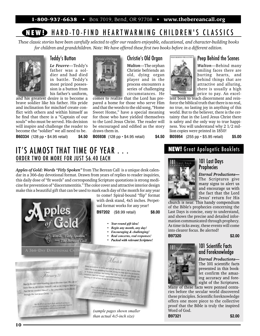1-800-937-6638 • Box 7019, Bend, OR 97708 • **www.thebereancall.org**

### **N EWP HARD-TO-FIND HEARTWARMING CHILDREN'S CLASSICS**

*These classic stories have been carefully selected to offer our readers enjoyable, educational, and character-building books*  for children and grandchildren. Note: We have offered these first two books before in a different edition.



### Teddy's Button

*Le Feuvre*—Teddy's father was a soldier and had died in battle. Teddy's most prized possession is a button from his father's uniform,

and his greatest desire is to become a comes to realize that the Lord has prebrave soldier like his father. His pride and inclination for mischief create conflict with others and within himself as he find that there is a "Captain of our souls" who must be served. His decision will inspire and challenge the reader to become the "soldier" we all need to be. **B60334** (128 pp • \$4.95 retail) **\$4.50**



### Christie's Old Organ

*Walton*—The orphan Christie befriends an old, dying organ player and in the process encounters a series of challenging circumstances. He

comes to realize that the Lord has prepared a home for those who serve Him and that the words to the old song, "Home Sweet Home," have a special meaning for those who have yielded themselves to the Lord Jesus Christ. The reader will be encouraged and edified as the story draws them in.

**B05938** (128 pp • \$4.95 retail) **\$4.50**



### Peep Behind the Scenes

*Walton*—Behind many smiling faces there are smiling faces there hurting hearts, and hurting hearts, behind things that are behind things that are<br>attractive and alluring, there is usually a high there is usually a price to pay. An excel-price to pay. An excel-

lent book to teach discernment and reinforce the biblical truth that there is no real, no true, no lasting joy in anything of this world. But to the believer, there is the certainty that in the Lord Jesus Christ there is safety and the only way to true happiness. You will understand why 2 1/2 million copies were printed in 1850!

**B05954** (255 pp • \$5.95 retail) **\$5.00**

**NEW!** Great Apologetic Booklets

### IT'S ALMOST THAT TIME OF YEAR ORDER TWO OR MORE FOR JUST \$6.40 EACH

*Apples of Gold: Words "Fitly Spoken"* from The Berean Call is a unique desk calendar in a 366-day devotional format. Drawn from years of replies to reader inquiries, this daily dose of "fit words" and corresponding Scripture quotations is strong medicine for prevention of "discernmentitis." The color cover and attractive interior design make this a beautiful gift that can be used to mark each day of the month for any year



### 101 Last Days **Prophecies**



*Eternal Productions—* The Scriptures give many signs to alert us and encourage us with the fact that the Lord Jesus' return for His

church is near. This handy compendium of the Bible's prophecies concerning the Last Days is concise, easy to understand, and shows the precise and detailed information communicated through prophecy. As time ticks away, these events will come into clearer focus. Be alerted!

**B97320 \$2.00** 

### 101 Scientific Facts and Foreknowledge

*Eternal Productions—* The 101 scientific facts presented in this booklet confirm the amazing accuracy and foresight of the Scriptures.

Many of these facts were penned centuries before the secular world discovered these principles. Scientific foreknowledge offers one more piece to the collective proof that the Bible is truly the inspired Word of God.

**B97321 \$2.00**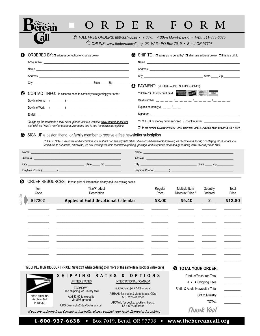|                                                        | © TOLL FREE ORDERS: 800-937-6638 • 7:00 AM - 4:30 PM Mon-Fri (PST) • FAX: 541-385-6025<br>$\sqrt{\theta}$ ONLINE: www.thebereancall.org $\boxtimes$ MAIL: PO Box 7019 • Bend OR 97708                                                                                                                                                                                                                                                                                                                                                                                               |                                                              |                                       |                                                                                                                                                                                                                                |                                  |                |
|--------------------------------------------------------|-------------------------------------------------------------------------------------------------------------------------------------------------------------------------------------------------------------------------------------------------------------------------------------------------------------------------------------------------------------------------------------------------------------------------------------------------------------------------------------------------------------------------------------------------------------------------------------|--------------------------------------------------------------|---------------------------------------|--------------------------------------------------------------------------------------------------------------------------------------------------------------------------------------------------------------------------------|----------------------------------|----------------|
|                                                        | ORDERED BY: $\Box$ address correction or change below                                                                                                                                                                                                                                                                                                                                                                                                                                                                                                                               |                                                              |                                       | SHIP TO: $\Box$ same as "ordered by" $\Box$ alternate address below $\Box$ this is a gift to                                                                                                                                   |                                  |                |
|                                                        |                                                                                                                                                                                                                                                                                                                                                                                                                                                                                                                                                                                     |                                                              |                                       |                                                                                                                                                                                                                                |                                  |                |
|                                                        |                                                                                                                                                                                                                                                                                                                                                                                                                                                                                                                                                                                     |                                                              |                                       |                                                                                                                                                                                                                                |                                  |                |
|                                                        |                                                                                                                                                                                                                                                                                                                                                                                                                                                                                                                                                                                     |                                                              |                                       | PAYMENT: (PLEASE - IN U.S. FUNDS ONLY)                                                                                                                                                                                         |                                  |                |
|                                                        | CONTACT INFO: In case we need to contact you regarding your order                                                                                                                                                                                                                                                                                                                                                                                                                                                                                                                   |                                                              |                                       | CHARGE to my credit card                                                                                                                                                                                                       |                                  |                |
| Daytime Home                                           | $\left(\begin{array}{ccc} \begin{array}{ccc} \begin{array}{ccc} \end{array} & \end{array}\right) & \begin{array}{ccc} \end{array} & \begin{array}{ccc} \end{array} & \begin{array}{ccc} \end{array} & \begin{array}{ccc} \end{array} & \begin{array}{ccc} \end{array} & \begin{array}{ccc} \end{array} & \begin{array}{ccc} \end{array} & \begin{array}{ccc} \end{array} & \begin{array}{ccc} \end{array} & \begin{array}{ccc} \end{array} & \begin{array}{ccc} \end{array} & \begin{array}{ccc} \end{array} & \begin{array}{ccc} \end{array} & \begin{array}{ccc} \end{array} & \$ |                                                              |                                       |                                                                                                                                                                                                                                |                                  |                |
|                                                        |                                                                                                                                                                                                                                                                                                                                                                                                                                                                                                                                                                                     |                                                              | Expires on $\text{(mm/yy)}$ _ _ / _ _ |                                                                                                                                                                                                                                |                                  |                |
| E-Mail                                                 |                                                                                                                                                                                                                                                                                                                                                                                                                                                                                                                                                                                     |                                                              |                                       | Signature experience and the state of the state of the state of the state of the state of the state of the state of the state of the state of the state of the state of the state of the state of the state of the state of th |                                  |                |
|                                                        | To sign up for automatic e-mail news, please visit our website: www.thebereancall.org<br>and click on "what's new" to create a user name and to see the newsletter options                                                                                                                                                                                                                                                                                                                                                                                                          |                                                              |                                       | □ CHECK or money order enclosed / check number<br>$\Box$ If MY funds exceed product and shipping costs, please keep balance as a gift                                                                                          |                                  |                |
|                                                        | Name experience and the contract of the contract of the contract of the contract of the contract of the contract of                                                                                                                                                                                                                                                                                                                                                                                                                                                                 |                                                              |                                       |                                                                                                                                                                                                                                |                                  |                |
|                                                        |                                                                                                                                                                                                                                                                                                                                                                                                                                                                                                                                                                                     |                                                              |                                       |                                                                                                                                                                                                                                |                                  |                |
|                                                        |                                                                                                                                                                                                                                                                                                                                                                                                                                                                                                                                                                                     |                                                              |                                       |                                                                                                                                                                                                                                |                                  |                |
|                                                        | ORDER RESOURCES: Please print all information clearly and use catalog codes                                                                                                                                                                                                                                                                                                                                                                                                                                                                                                         |                                                              |                                       |                                                                                                                                                                                                                                |                                  |                |
| Item<br>Code                                           | <b>Title/Product</b><br>Description                                                                                                                                                                                                                                                                                                                                                                                                                                                                                                                                                 |                                                              | Regular<br>Price                      | Multiple Item<br>Discount Price *                                                                                                                                                                                              | Quantity<br>Ordered              | Total<br>Price |
| B97202                                                 | <b>Apples of Gold Devotional Calendar</b>                                                                                                                                                                                                                                                                                                                                                                                                                                                                                                                                           |                                                              | \$8.00                                | \$6.40                                                                                                                                                                                                                         | $\mathbf{2}$                     | \$12.80        |
|                                                        |                                                                                                                                                                                                                                                                                                                                                                                                                                                                                                                                                                                     |                                                              |                                       |                                                                                                                                                                                                                                |                                  |                |
|                                                        |                                                                                                                                                                                                                                                                                                                                                                                                                                                                                                                                                                                     |                                                              |                                       |                                                                                                                                                                                                                                |                                  |                |
|                                                        |                                                                                                                                                                                                                                                                                                                                                                                                                                                                                                                                                                                     |                                                              |                                       |                                                                                                                                                                                                                                |                                  |                |
|                                                        |                                                                                                                                                                                                                                                                                                                                                                                                                                                                                                                                                                                     |                                                              |                                       |                                                                                                                                                                                                                                |                                  |                |
|                                                        |                                                                                                                                                                                                                                                                                                                                                                                                                                                                                                                                                                                     |                                                              |                                       |                                                                                                                                                                                                                                |                                  |                |
|                                                        |                                                                                                                                                                                                                                                                                                                                                                                                                                                                                                                                                                                     |                                                              |                                       |                                                                                                                                                                                                                                |                                  |                |
|                                                        |                                                                                                                                                                                                                                                                                                                                                                                                                                                                                                                                                                                     |                                                              |                                       |                                                                                                                                                                                                                                |                                  |                |
|                                                        | * MULTIPLE ITEM DISCOUNT PRICE: Save 20% when ordering 2 or more of the same item (book or video only)                                                                                                                                                                                                                                                                                                                                                                                                                                                                              |                                                              |                                       |                                                                                                                                                                                                                                |                                  |                |
|                                                        |                                                                                                                                                                                                                                                                                                                                                                                                                                                                                                                                                                                     |                                                              |                                       | <b>TOTAL YOUR ORDER:</b>                                                                                                                                                                                                       |                                  |                |
|                                                        | <b>SHIPPING</b><br><b>RATES</b><br>&<br>UNITED STATES                                                                                                                                                                                                                                                                                                                                                                                                                                                                                                                               | OPTIONS<br>INTERNATIONAL / CANADA                            |                                       |                                                                                                                                                                                                                                | Product/Resource Total           |                |
|                                                        | ECONOMY:                                                                                                                                                                                                                                                                                                                                                                                                                                                                                                                                                                            | ECONOMY: \$4 + 10% of order                                  |                                       |                                                                                                                                                                                                                                | <b>4 4 4 Shipping Fees</b>       |                |
|                                                        | Free shipping via Library Mail                                                                                                                                                                                                                                                                                                                                                                                                                                                                                                                                                      | AIRMAIL for audio & video tapes, CDs:                        |                                       | Radio & Audio Newsletter Total                                                                                                                                                                                                 |                                  |                |
| <b>FREE SHIPPING</b><br>via Library Mail<br>in the USA | Add \$3.00 to expedite<br>via UPS ground                                                                                                                                                                                                                                                                                                                                                                                                                                                                                                                                            | $$5 + 25\%$ of order<br>AIRMAIL for books, booklets, tracts: |                                       |                                                                                                                                                                                                                                | Gift to Ministry<br><b>TOTAL</b> |                |